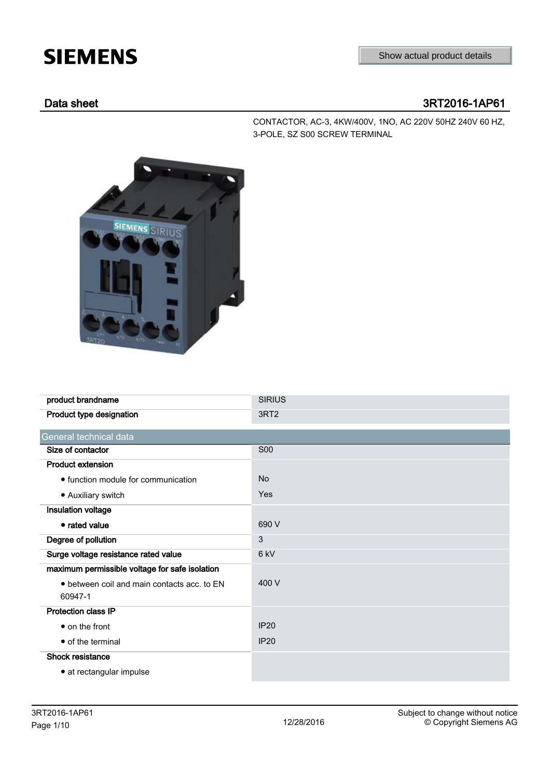# **SIEMENS**

# Data sheet 3RT2016-1AP61

CONTACTOR, AC-3, 4KW/400V, 1NO, AC 220V 50HZ 240V 60 HZ, 3-POLE, SZ S00 SCREW TERMINAL



| product brandname                              | <b>SIRIUS</b>    |
|------------------------------------------------|------------------|
| Product type designation                       | 3RT <sub>2</sub> |
| General technical data                         |                  |
| Size of contactor                              | <b>S00</b>       |
| <b>Product extension</b>                       |                  |
| • function module for communication            | <b>No</b>        |
| • Auxiliary switch                             | <b>Yes</b>       |
| Insulation voltage                             |                  |
| • rated value                                  | 690 V            |
| Degree of pollution                            | 3                |
| Surge voltage resistance rated value           | 6 <sub>kV</sub>  |
| maximum permissible voltage for safe isolation |                  |
| • between coil and main contacts acc. to EN    | 400 V            |
| 60947-1                                        |                  |
| <b>Protection class IP</b>                     |                  |
| • on the front                                 | <b>IP20</b>      |
| • of the terminal                              | <b>IP20</b>      |
| Shock resistance                               |                  |
| • at rectangular impulse                       |                  |
|                                                |                  |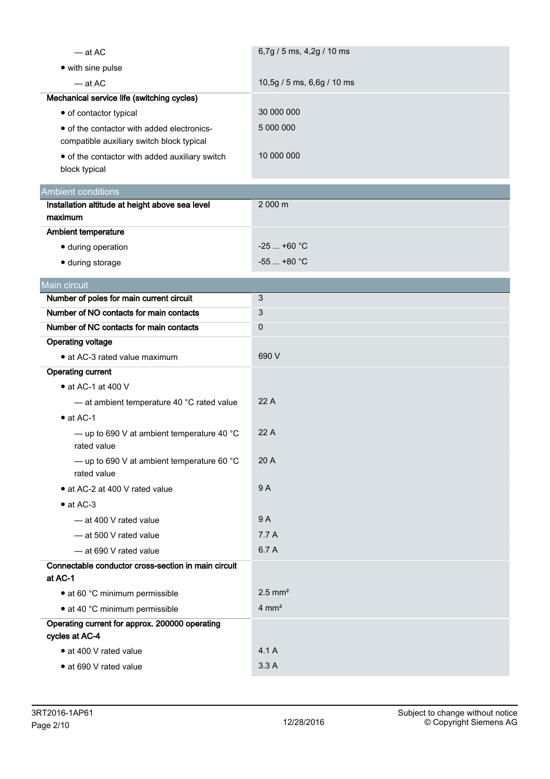| $-$ at AC                                                                               | 6,7g / 5 ms, 4,2g / 10 ms  |
|-----------------------------------------------------------------------------------------|----------------------------|
| • with sine pulse                                                                       |                            |
| $-$ at AC                                                                               | 10,5g / 5 ms, 6,6g / 10 ms |
| Mechanical service life (switching cycles)                                              |                            |
| • of contactor typical                                                                  | 30 000 000                 |
| • of the contactor with added electronics-<br>compatible auxiliary switch block typical | 5 000 000                  |
| • of the contactor with added auxiliary switch<br>block typical                         | 10 000 000                 |
| <b>Ambient conditions</b>                                                               |                            |
| Installation altitude at height above sea level                                         | 2 000 m                    |
| maximum                                                                                 |                            |
| Ambient temperature                                                                     |                            |
| · during operation                                                                      | $-25$ +60 °C               |
| · during storage                                                                        | $-55$ $+80$ °C             |
| Main circuit                                                                            |                            |
| Number of poles for main current circuit                                                | 3                          |
| Number of NO contacts for main contacts                                                 | 3                          |
| Number of NC contacts for main contacts                                                 | 0                          |
| <b>Operating voltage</b>                                                                |                            |
| • at AC-3 rated value maximum                                                           | 690 V                      |
| <b>Operating current</b>                                                                |                            |
| • at AC-1 at 400 V                                                                      |                            |
| - at ambient temperature 40 °C rated value                                              | 22 A                       |
| $\bullet$ at AC-1                                                                       |                            |
| - up to 690 V at ambient temperature 40 $^{\circ}$ C<br>rated value                     | 22 A                       |
| - up to 690 V at ambient temperature 60 $^{\circ}$ C<br>rated value                     | 20 A                       |
| • at AC-2 at 400 V rated value                                                          | 9 A                        |
| $\bullet$ at AC-3                                                                       |                            |
| - at 400 V rated value                                                                  | 9 A                        |
| - at 500 V rated value                                                                  | 7.7 A                      |
| - at 690 V rated value                                                                  | 6.7 A                      |
| Connectable conductor cross-section in main circuit                                     |                            |
| at AC-1                                                                                 |                            |
| • at 60 °C minimum permissible                                                          | $2.5$ mm <sup>2</sup>      |
| • at 40 °C minimum permissible                                                          | $4 \text{ mm}^2$           |
| Operating current for approx. 200000 operating<br>cycles at AC-4                        |                            |
| • at 400 V rated value                                                                  | 4.1 A                      |
| • at 690 V rated value                                                                  | 3.3A                       |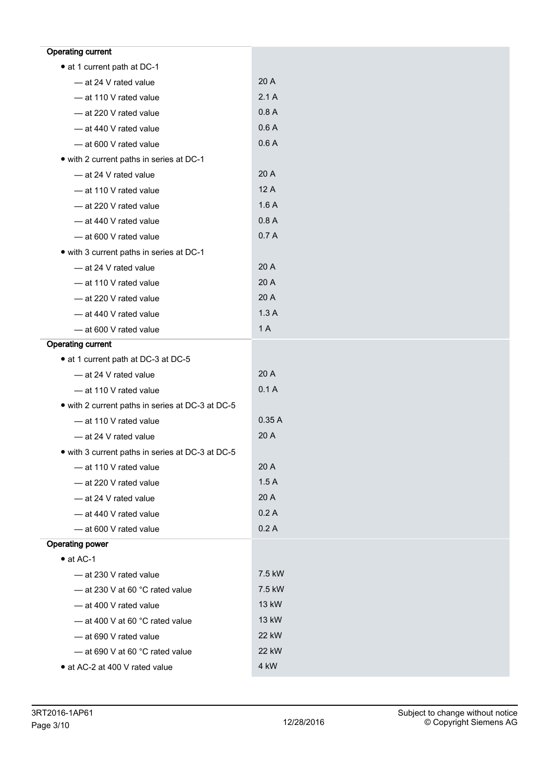| <b>Operating current</b>                         |        |
|--------------------------------------------------|--------|
| • at 1 current path at DC-1                      |        |
| - at 24 V rated value                            | 20 A   |
| - at 110 V rated value                           | 2.1A   |
| - at 220 V rated value                           | 0.8A   |
| - at 440 V rated value                           | 0.6A   |
| - at 600 V rated value                           | 0.6A   |
| • with 2 current paths in series at DC-1         |        |
| - at 24 V rated value                            | 20 A   |
| - at 110 V rated value                           | 12A    |
| - at 220 V rated value                           | 1.6A   |
| - at 440 V rated value                           | 0.8A   |
| - at 600 V rated value                           | 0.7A   |
| • with 3 current paths in series at DC-1         |        |
| - at 24 V rated value                            | 20 A   |
| - at 110 V rated value                           | 20 A   |
| - at 220 V rated value                           | 20 A   |
| - at 440 V rated value                           | 1.3A   |
| - at 600 V rated value                           | 1A     |
| <b>Operating current</b>                         |        |
| • at 1 current path at DC-3 at DC-5              |        |
| - at 24 V rated value                            | 20 A   |
| - at 110 V rated value                           | 0.1A   |
| • with 2 current paths in series at DC-3 at DC-5 |        |
| - at 110 V rated value                           | 0.35A  |
| - at 24 V rated value                            | 20 A   |
| • with 3 current paths in series at DC-3 at DC-5 |        |
| - at 110 V rated value                           | 20 A   |
| - at 220 V rated value                           | 1.5A   |
| - at 24 V rated value                            | 20 A   |
| - at 440 V rated value                           | 0.2A   |
| - at 600 V rated value                           | 0.2A   |
| <b>Operating power</b>                           |        |
| $\bullet$ at AC-1                                |        |
| -at 230 V rated value                            | 7.5 kW |
| $-$ at 230 V at 60 °C rated value                | 7.5 kW |
| - at 400 V rated value                           | 13 kW  |
| - at 400 V at 60 °C rated value                  | 13 kW  |
| - at 690 V rated value                           | 22 kW  |
| - at 690 V at 60 °C rated value                  | 22 kW  |
| • at AC-2 at 400 V rated value                   | 4 kW   |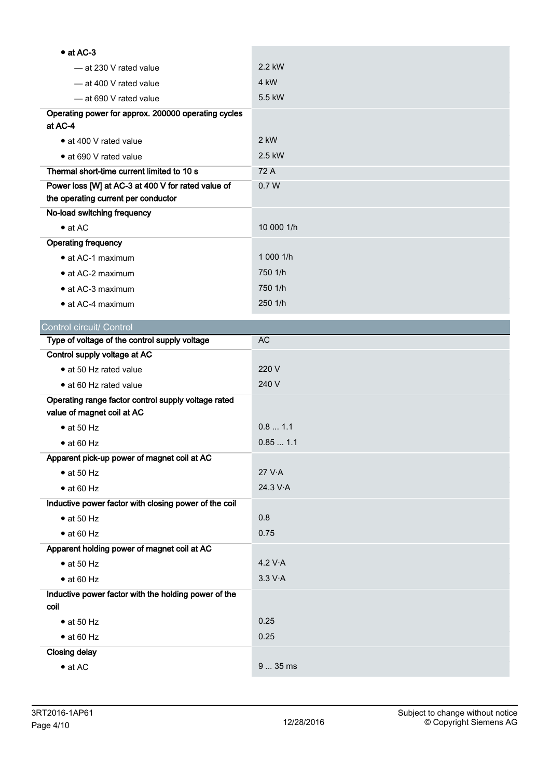| $\bullet$ at AC-3                                                                 |            |
|-----------------------------------------------------------------------------------|------------|
| -at 230 V rated value                                                             | 2.2 kW     |
| - at 400 V rated value                                                            | 4 kW       |
| -at 690 V rated value                                                             | 5.5 kW     |
| Operating power for approx. 200000 operating cycles                               |            |
| at AC-4                                                                           |            |
| • at 400 V rated value                                                            | 2 kW       |
| • at 690 V rated value                                                            | 2.5 kW     |
| Thermal short-time current limited to 10 s                                        | 72 A       |
| Power loss [W] at AC-3 at 400 V for rated value of                                | 0.7W       |
| the operating current per conductor                                               |            |
| No-load switching frequency                                                       | 10 000 1/h |
| $\bullet$ at AC                                                                   |            |
| <b>Operating frequency</b>                                                        | 1 000 1/h  |
| • at AC-1 maximum                                                                 |            |
| • at AC-2 maximum                                                                 | 750 1/h    |
| • at AC-3 maximum                                                                 | 750 1/h    |
| $\bullet$ at AC-4 maximum                                                         | 250 1/h    |
| Control circuit/ Control                                                          |            |
| Type of voltage of the control supply voltage                                     | <b>AC</b>  |
| Control supply voltage at AC                                                      |            |
| • at 50 Hz rated value                                                            | 220 V      |
| • at 60 Hz rated value                                                            | 240 V      |
| Operating range factor control supply voltage rated<br>value of magnet coil at AC |            |
| $\bullet$ at 50 Hz                                                                | 0.81.1     |
| $\bullet$ at 60 Hz                                                                | 0.851.1    |
| Apparent pick-up power of magnet coil at AC                                       |            |
| $\bullet$ at 50 Hz                                                                | 27 V·A     |
| $\bullet$ at 60 Hz                                                                | 24.3 V·A   |
| Inductive power factor with closing power of the coil                             |            |
| $\bullet$ at 50 Hz                                                                |            |
|                                                                                   | 0.8        |
| $\bullet$ at 60 Hz                                                                | 0.75       |
| Apparent holding power of magnet coil at AC                                       |            |
| $\bullet$ at 50 Hz                                                                | 4.2 V·A    |
| $\bullet$ at 60 Hz                                                                | 3.3 V·A    |
| Inductive power factor with the holding power of the<br>coil                      |            |
| $\bullet$ at 50 Hz                                                                | 0.25       |
| $\bullet$ at 60 Hz                                                                | 0.25       |
| <b>Closing delay</b>                                                              |            |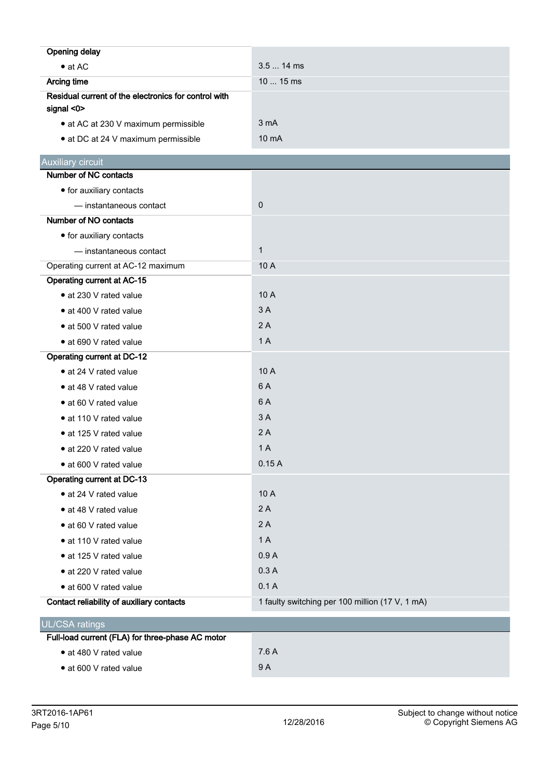| <b>Opening delay</b>                                 |                                                 |
|------------------------------------------------------|-------------------------------------------------|
| $\bullet$ at AC                                      | 3.5  14 ms                                      |
| <b>Arcing time</b>                                   | 10  15 ms                                       |
| Residual current of the electronics for control with |                                                 |
| signal <0>                                           |                                                 |
| • at AC at 230 V maximum permissible                 | 3 <sub>m</sub> A                                |
| • at DC at 24 V maximum permissible                  | $10 \text{ mA}$                                 |
| <b>Auxiliary circuit</b>                             |                                                 |
| Number of NC contacts                                |                                                 |
| • for auxiliary contacts                             |                                                 |
| - instantaneous contact                              | $\pmb{0}$                                       |
| Number of NO contacts                                |                                                 |
| • for auxiliary contacts                             |                                                 |
| - instantaneous contact                              | $\mathbf{1}$                                    |
| Operating current at AC-12 maximum                   | 10 A                                            |
| <b>Operating current at AC-15</b>                    |                                                 |
| • at 230 V rated value                               | 10 A                                            |
| • at 400 V rated value                               | 3A                                              |
| • at 500 V rated value                               | 2A                                              |
| • at 690 V rated value                               | 1A                                              |
| <b>Operating current at DC-12</b>                    |                                                 |
| • at 24 V rated value                                | 10 A                                            |
| • at 48 V rated value                                | 6 A                                             |
| • at 60 V rated value                                | 6A                                              |
| • at 110 V rated value                               | 3A                                              |
| • at 125 V rated value                               | 2A                                              |
| • at 220 V rated value                               | 1A                                              |
| • at 600 V rated value                               | 0.15A                                           |
| Operating current at DC-13                           |                                                 |
| • at 24 V rated value                                | 10 A                                            |
| • at 48 V rated value                                | 2A                                              |
| • at 60 V rated value                                | 2A                                              |
| • at 110 V rated value                               | 1A                                              |
| • at 125 V rated value                               | 0.9A                                            |
| • at 220 V rated value                               | 0.3A                                            |
| • at 600 V rated value                               | 0.1A                                            |
| Contact reliability of auxiliary contacts            | 1 faulty switching per 100 million (17 V, 1 mA) |
| <b>UL/CSA ratings</b>                                |                                                 |
| Full-load current (FLA) for three-phase AC motor     |                                                 |
| · at 480 V rated value                               | 7.6 A                                           |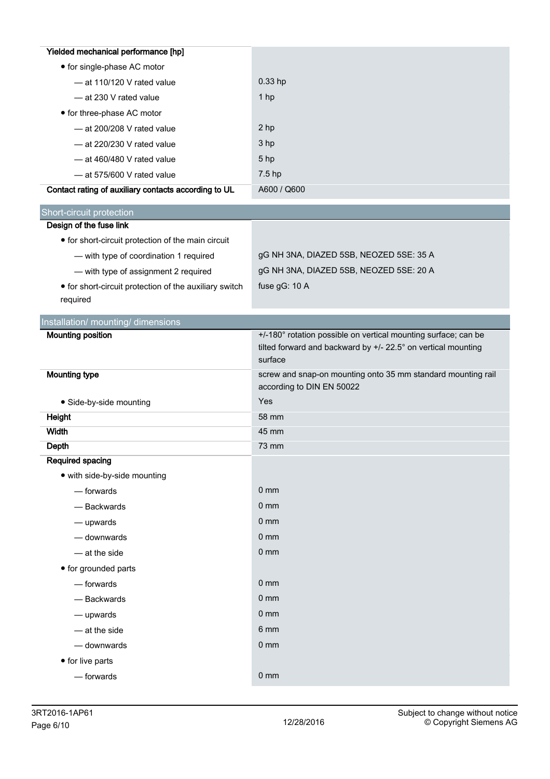| Yielded mechanical performance [hp]                    |                                                                |
|--------------------------------------------------------|----------------------------------------------------------------|
| • for single-phase AC motor                            |                                                                |
| - at 110/120 V rated value                             | $0.33$ hp                                                      |
| - at 230 V rated value                                 | 1 hp                                                           |
| • for three-phase AC motor                             |                                                                |
| - at 200/208 V rated value                             | 2 hp                                                           |
| $-$ at 220/230 V rated value                           | 3 hp                                                           |
| $-$ at 460/480 V rated value                           | 5 hp                                                           |
| - at 575/600 V rated value                             | 7.5 hp                                                         |
| Contact rating of auxiliary contacts according to UL   | A600 / Q600                                                    |
| Short-circuit protection                               |                                                                |
| Design of the fuse link                                |                                                                |
| • for short-circuit protection of the main circuit     |                                                                |
| - with type of coordination 1 required                 | gG NH 3NA, DIAZED 5SB, NEOZED 5SE: 35 A                        |
| - with type of assignment 2 required                   | gG NH 3NA, DIAZED 5SB, NEOZED 5SE: 20 A                        |
| • for short-circuit protection of the auxiliary switch | fuse gG: 10 A                                                  |
| required                                               |                                                                |
| Installation/ mounting/ dimensions                     |                                                                |
| <b>Mounting position</b>                               | +/-180° rotation possible on vertical mounting surface; can be |
|                                                        | tilted forward and backward by +/- 22.5° on vertical mounting  |
|                                                        | surface                                                        |
|                                                        |                                                                |
| <b>Mounting type</b>                                   | screw and snap-on mounting onto 35 mm standard mounting rail   |
|                                                        | according to DIN EN 50022                                      |
| · Side-by-side mounting                                | Yes                                                            |
| Height                                                 | 58 mm                                                          |
| <b>Width</b>                                           | 45 mm                                                          |
| Depth                                                  | 73 mm                                                          |
| Required spacing<br>• with side-by-side mounting       |                                                                |
| $-$ forwards                                           | 0 <sub>mm</sub>                                                |
| - Backwards                                            | 0 <sub>mm</sub>                                                |
|                                                        | $0 \text{ mm}$                                                 |
| $-\omega$ upwards<br>- downwards                       | 0 <sub>mm</sub>                                                |
| $-$ at the side                                        | 0 <sub>mm</sub>                                                |
|                                                        |                                                                |
| • for grounded parts<br>- forwards                     | 0 <sub>mm</sub>                                                |
| - Backwards                                            | 0 <sub>mm</sub>                                                |
| $-\omega$ upwards                                      | 0 <sub>mm</sub>                                                |
| - at the side                                          | 6 mm                                                           |
| - downwards                                            | 0 <sub>mm</sub>                                                |
|                                                        |                                                                |
| • for live parts<br>$-$ forwards                       | 0 <sub>mm</sub>                                                |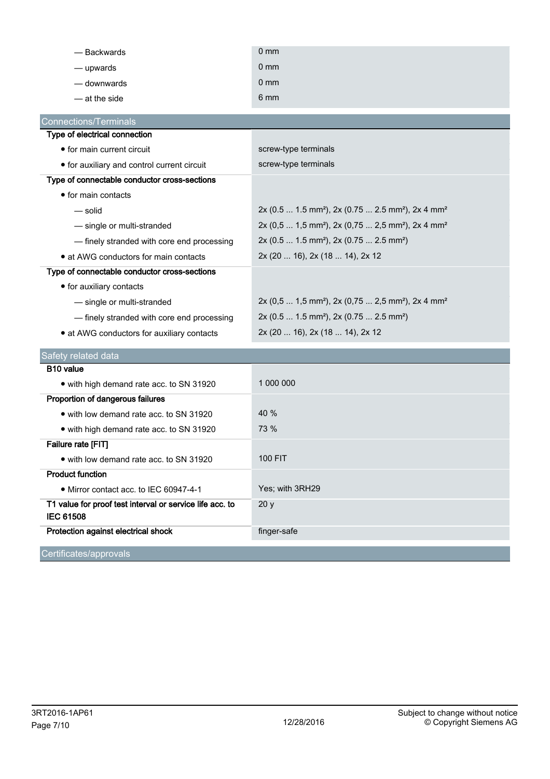| - Backwards                                                                  | 0 <sub>mm</sub>                                                                       |
|------------------------------------------------------------------------------|---------------------------------------------------------------------------------------|
| - upwards                                                                    | $0 \text{ mm}$                                                                        |
| — downwards                                                                  | $0 \text{ mm}$                                                                        |
| - at the side                                                                | 6 mm                                                                                  |
| <b>Connections/Terminals</b>                                                 |                                                                                       |
| Type of electrical connection                                                |                                                                                       |
| • for main current circuit                                                   | screw-type terminals                                                                  |
| • for auxiliary and control current circuit                                  | screw-type terminals                                                                  |
| Type of connectable conductor cross-sections                                 |                                                                                       |
| • for main contacts                                                          |                                                                                       |
| — solid                                                                      | 2x (0.5  1.5 mm <sup>2</sup> ), 2x (0.75  2.5 mm <sup>2</sup> ), 2x 4 mm <sup>2</sup> |
| - single or multi-stranded                                                   | 2x (0,5  1,5 mm <sup>2</sup> ), 2x (0,75  2,5 mm <sup>2</sup> ), 2x 4 mm <sup>2</sup> |
| - finely stranded with core end processing                                   | 2x (0.5  1.5 mm <sup>2</sup> ), 2x (0.75  2.5 mm <sup>2</sup> )                       |
| • at AWG conductors for main contacts                                        | 2x (20  16), 2x (18  14), 2x 12                                                       |
| Type of connectable conductor cross-sections                                 |                                                                                       |
| • for auxiliary contacts                                                     |                                                                                       |
| - single or multi-stranded                                                   | 2x (0,5  1,5 mm <sup>2</sup> ), 2x (0,75  2,5 mm <sup>2</sup> ), 2x 4 mm <sup>2</sup> |
| - finely stranded with core end processing                                   | 2x (0.5  1.5 mm <sup>2</sup> ), 2x (0.75  2.5 mm <sup>2</sup> )                       |
| • at AWG conductors for auxiliary contacts                                   | 2x (20  16), 2x (18  14), 2x 12                                                       |
| Safety related data                                                          |                                                                                       |
| B <sub>10</sub> value                                                        |                                                                                       |
| • with high demand rate acc. to SN 31920                                     | 1 000 000                                                                             |
| Proportion of dangerous failures                                             |                                                                                       |
| • with low demand rate acc. to SN 31920                                      | 40 %                                                                                  |
| • with high demand rate acc. to SN 31920                                     | 73 %                                                                                  |
| Failure rate [FIT]                                                           |                                                                                       |
| • with low demand rate acc. to SN 31920                                      | 100 FIT                                                                               |
| <b>Product function</b>                                                      |                                                                                       |
| • Mirror contact acc. to IEC 60947-4-1                                       | Yes; with 3RH29                                                                       |
| T1 value for proof test interval or service life acc. to<br><b>IEC 61508</b> | 20y                                                                                   |
| Protection against electrical shock                                          | finger-safe                                                                           |
| Certificates/approvals                                                       |                                                                                       |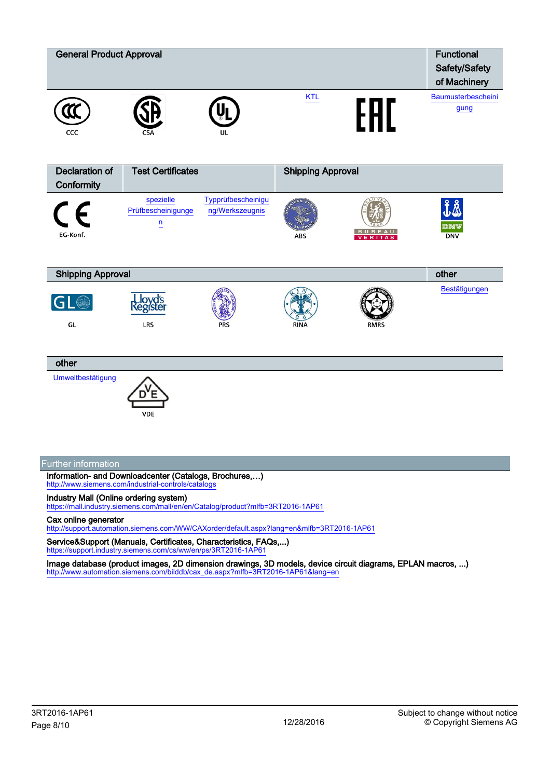

Information- and Downloadcenter (Catalogs, Brochures,…) <http://www.siemens.com/industrial-controls/catalogs>

### Industry Mall (Online ordering system)

<https://mall.industry.siemens.com/mall/en/en/Catalog/product?mlfb=3RT2016-1AP61>

## Cax online generator

<http://support.automation.siemens.com/WW/CAXorder/default.aspx?lang=en&mlfb=3RT2016-1AP61>

Service&Support (Manuals, Certificates, Characteristics, FAQs,...)<br>https://support.industry.siemens.com/cs/ww/en/ps/3RT2016-1AP61 .industry.siemens.com/cs/ww/en/ps/3RT2016-1AP61

Image database (product images, 2D dimension drawings, 3D models, device circuit diagrams, EPLAN macros, ...) [http://www.automation.siemens.com/bilddb/cax\\_de.aspx?mlfb=3RT2016-1AP61&lang=en](http://www.automation.siemens.com/bilddb/cax_de.aspx?mlfb=3RT2016-1AP61&lang=en)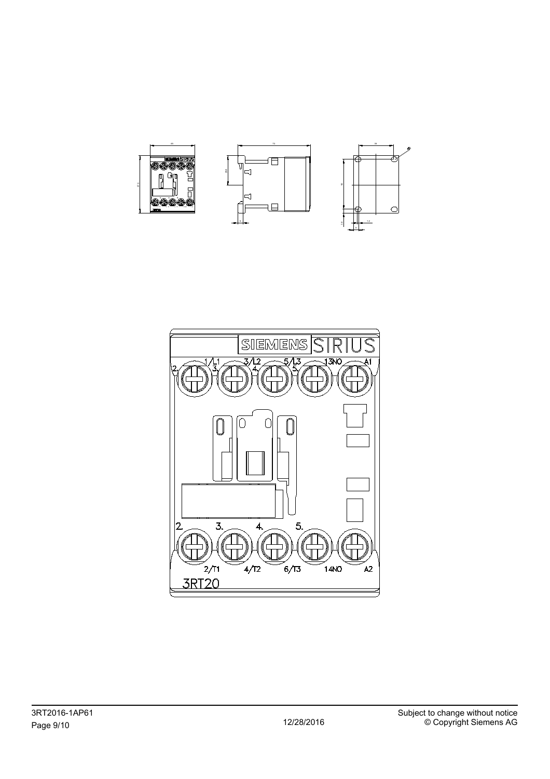